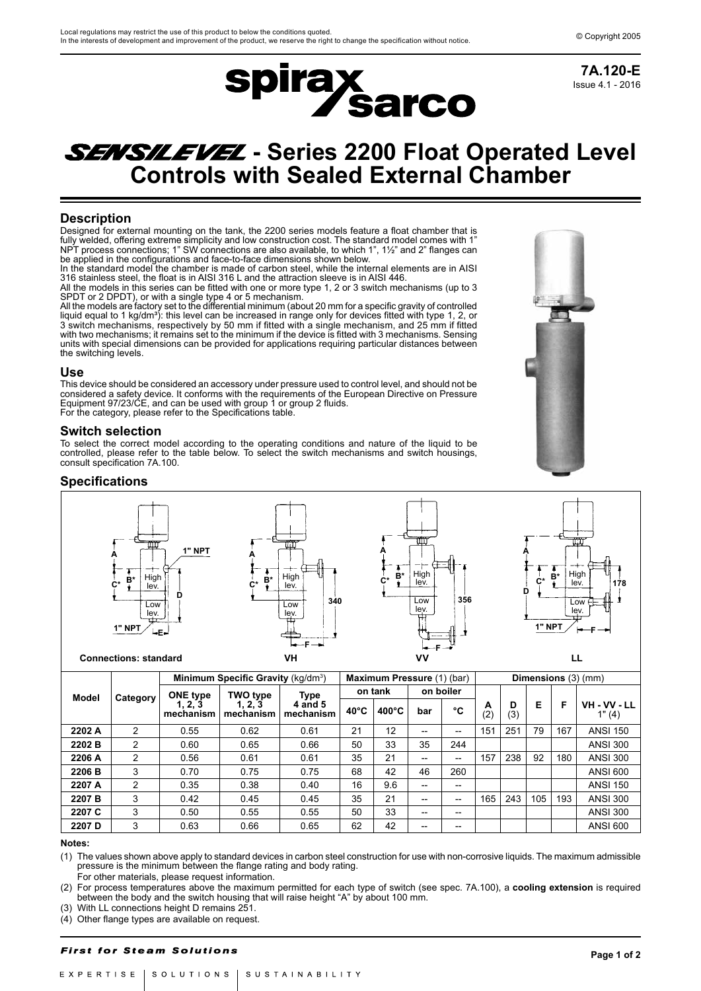

Issue 4.1 - 2016 **7A.120-E**

# **SENSILEVEL** - Series 2200 Float Operated Level **Controls with Sealed External Chamber**

# **Description**

Designed for external mounting on the tank, the 2200 series models feature a float chamber that is fully welded, offering extreme simplicity and low construction cost. The standard model comes with 1" NPT process connections; 1" SW connections are also available, to which 1", 1½" and 2" flanges can be applied in the configurations and face-to-face dimensions shown below.

In the standard model the chamber is made of carbon steel, while the internal elements are in AISI 316 stainless steel, the float is in AISI 316 L and the attraction sleeve is in AISI 446. All the models in this series can be fitted with one or more type 1, 2 or 3 switch mechanisms (up to 3

SPDT or 2 DPDT), or with a single type 4 or 5 mechanism. All the models are factory set to the differential minimum (about 20 mm for a specific gravity of controlled

liquid equal to 1 kg/dmª): this level can be increased in range only for devices fitted with type 1, 2, or 3 switch mechanisms, respectively by 50 mm if fitted with a single mechanism, and 25 mm if fitted with two mechanisms; it remains set to the minimum if the device is fitted with 3 mechanisms. Sensing units with special dimensions can be provided for applications requiring particular distances between the switching levels.

#### **Use**

This device should be considered an accessory under pressure used to control level, and should not be considered a safety device. It conforms with the requirements of the European Directive on Pressure Equipment 97/23/CE, and can be used with group 1 or group 2 fluids. For the category, please refer to the Specifications table.

## **Switch selection**

To select the correct model according to the operating conditions and nature of the liquid to be controlled, please refer to the table below. To select the switch mechanisms and switch housings, consult specification 7A.100.



# **Specifications**



|        |          |                    | Minimum Specific Gravity (kg/dm <sup>3</sup> ) |                      | Maximum Pressure (1) (bar) |                 |           | Dimensions (3) (mm)      |          |          |     |     |                   |
|--------|----------|--------------------|------------------------------------------------|----------------------|----------------------------|-----------------|-----------|--------------------------|----------|----------|-----|-----|-------------------|
| Model  | Category | ONE type           | <b>TWO type</b>                                | Type                 |                            | on tank         | on boiler |                          |          |          |     |     |                   |
|        |          | 1.2.3<br>mechanism | 1. 2. 3<br>mechanism                           | 4 and 5<br>mechanism | $40^{\circ}$ C             | $400^{\circ}$ C | bar       | °C                       | A<br>(2) | D<br>(3) | Е   | F   | VH-W-LL<br>1" (4) |
| 2202 A | 2        | 0.55               | 0.62                                           | 0.61                 | 21                         | 12              | $- -$     | $\overline{\phantom{a}}$ | 151      | 251      | 79  | 167 | <b>ANSI 150</b>   |
| 2202 B | 2        | 0.60               | 0.65                                           | 0.66                 | 50                         | 33              | 35        | 244                      |          |          |     |     | <b>ANSI 300</b>   |
| 2206 A | 2        | 0.56               | 0.61                                           | 0.61                 | 35                         | 21              | $- -$     | $\overline{\phantom{a}}$ | 157      | 238      | 92  | 180 | <b>ANSI 300</b>   |
| 2206 B | 3        | 0.70               | 0.75                                           | 0.75                 | 68                         | 42              | 46        | 260                      |          |          |     |     | <b>ANSI 600</b>   |
| 2207 A | 2        | 0.35               | 0.38                                           | 0.40                 | 16                         | 9.6             | $- -$     | $- -$                    |          |          |     |     | <b>ANSI 150</b>   |
| 2207 B | 3        | 0.42               | 0.45                                           | 0.45                 | 35                         | 21              | $- -$     | $- -$                    | 165      | 243      | 105 | 193 | <b>ANSI 300</b>   |
| 2207 C | 3        | 0.50               | 0.55                                           | 0.55                 | 50                         | 33              | $- -$     | $- -$                    |          |          |     |     | <b>ANSI 300</b>   |
| 2207 D | 3        | 0.63               | 0.66                                           | 0.65                 | 62                         | 42              | $- -$     | $- -$                    |          |          |     |     | <b>ANSI 600</b>   |

#### **Notes:**

(1) The values shown above apply to standard devices in carbon steel construction for use with non-corrosive liquids. The maximum admissible pressure is the minimum between the flange rating and body rating.

For other materials, please request information.

(2) For process temperatures above the maximum permitted for each type of switch (see spec. 7A.100), a **cooling extension** is required between the body and the switch housing that will raise height "A" by about 100 mm.

(3) With LL connections height D remains 251.

(4) Other flange types are available on request.

## **First for Steam Solutions**